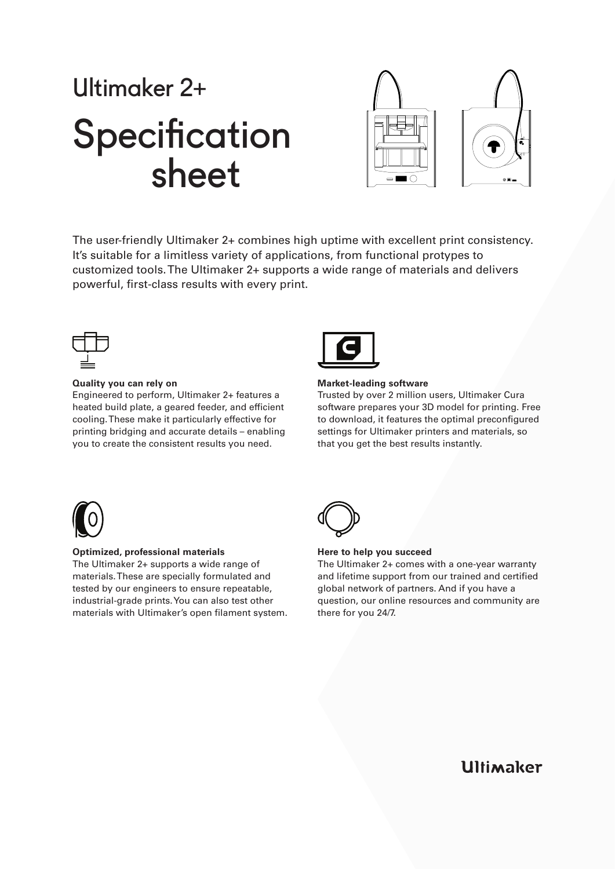## Ultimaker 2+ **Specification** sheet



The user-friendly Ultimaker 2+ combines high uptime with excellent print consistency. It's suitable for a limitless variety of applications, from functional protypes to customized tools. The Ultimaker 2+ supports a wide range of materials and delivers powerful, first-class results with every print.



### **Quality you can rely on**

Engineered to perform, Ultimaker 2+ features a heated build plate, a geared feeder, and efficient cooling. These make it particularly effective for printing bridging and accurate details – enabling you to create the consistent results you need.



### **Market-leading software**

Trusted by over 2 million users, Ultimaker Cura software prepares your 3D model for printing. Free to download, it features the optimal preconfigured settings for Ultimaker printers and materials, so that you get the best results instantly.



### **Optimized, professional materials**

The Ultimaker 2+ supports a wide range of materials. These are specially formulated and tested by our engineers to ensure repeatable, industrial-grade prints. You can also test other materials with Ultimaker's open filament system.



### **Here to help you succeed**

The Ultimaker 2+ comes with a one-year warranty and lifetime support from our trained and certified global network of partners. And if you have a question, our online resources and community are there for you 24/7.

**Ultimaker**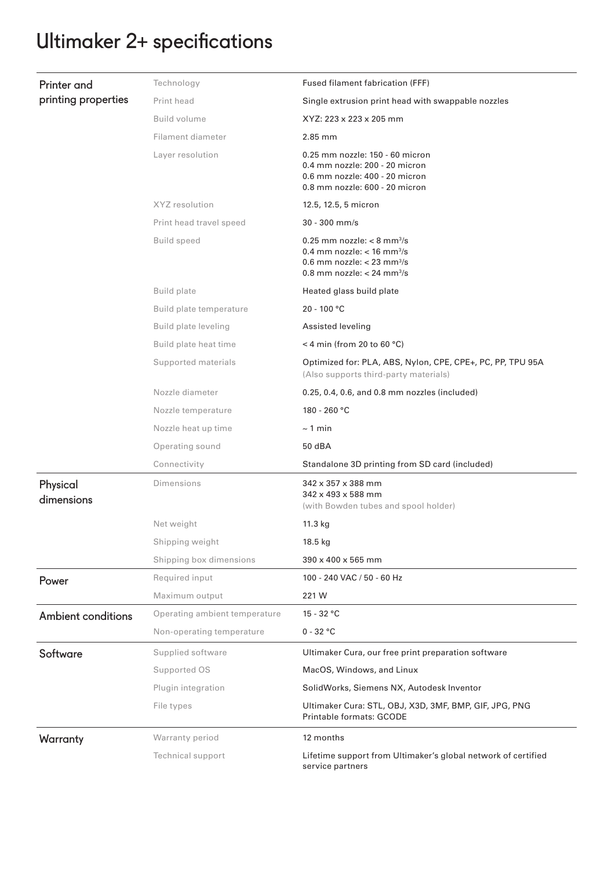## Ultimaker 2+ specifications

| <b>Printer</b> and<br>printing properties | Technology                    | Fused filament fabrication (FFF)                                                                                                                                             |
|-------------------------------------------|-------------------------------|------------------------------------------------------------------------------------------------------------------------------------------------------------------------------|
|                                           | Print head                    | Single extrusion print head with swappable nozzles                                                                                                                           |
|                                           | Build volume                  | XYZ: 223 x 223 x 205 mm                                                                                                                                                      |
|                                           | Filament diameter             | 2.85 mm                                                                                                                                                                      |
|                                           | Layer resolution              | 0.25 mm nozzle: 150 - 60 micron<br>0.4 mm nozzle: 200 - 20 micron<br>0.6 mm nozzle: 400 - 20 micron<br>0.8 mm nozzle: 600 - 20 micron                                        |
|                                           | XYZ resolution                | 12.5, 12.5, 5 micron                                                                                                                                                         |
|                                           | Print head travel speed       | $30 - 300$ mm/s                                                                                                                                                              |
|                                           | <b>Build speed</b>            | $0.25$ mm nozzle: < 8 mm <sup>3</sup> /s<br>0.4 mm nozzle: $<$ 16 mm <sup>3</sup> /s<br>0.6 mm nozzle: $<$ 23 mm <sup>3</sup> /s<br>0.8 mm nozzle: $< 24$ mm <sup>3</sup> /s |
|                                           | <b>Build plate</b>            | Heated glass build plate                                                                                                                                                     |
|                                           | Build plate temperature       | $20 - 100 °C$                                                                                                                                                                |
|                                           | Build plate leveling          | Assisted leveling                                                                                                                                                            |
|                                           | Build plate heat time         | < 4 min (from 20 to 60 $°C$ )                                                                                                                                                |
|                                           | Supported materials           | Optimized for: PLA, ABS, Nylon, CPE, CPE+, PC, PP, TPU 95A<br>(Also supports third-party materials)                                                                          |
|                                           | Nozzle diameter               | 0.25, 0.4, 0.6, and 0.8 mm nozzles (included)                                                                                                                                |
|                                           | Nozzle temperature            | 180 - 260 °C                                                                                                                                                                 |
|                                           | Nozzle heat up time           | $\sim$ 1 min                                                                                                                                                                 |
|                                           | Operating sound               | 50 dBA                                                                                                                                                                       |
|                                           | Connectivity                  | Standalone 3D printing from SD card (included)                                                                                                                               |
| Physical<br>dimensions                    | Dimensions                    | 342 x 357 x 388 mm<br>342 x 493 x 588 mm                                                                                                                                     |
|                                           |                               | (with Bowden tubes and spool holder)                                                                                                                                         |
|                                           | Net weight                    | 11.3 kg                                                                                                                                                                      |
|                                           | Shipping weight               | 18.5 kg                                                                                                                                                                      |
|                                           | Shipping box dimensions       | 390 x 400 x 565 mm                                                                                                                                                           |
| Power                                     | Required input                | 100 - 240 VAC / 50 - 60 Hz                                                                                                                                                   |
|                                           | Maximum output                | 221 W                                                                                                                                                                        |
| <b>Ambient conditions</b>                 | Operating ambient temperature | $15 - 32 °C$                                                                                                                                                                 |
|                                           | Non-operating temperature     | $0 - 32 °C$                                                                                                                                                                  |
| Software                                  | Supplied software             | Ultimaker Cura, our free print preparation software                                                                                                                          |
|                                           | Supported OS                  | MacOS, Windows, and Linux                                                                                                                                                    |
|                                           | Plugin integration            | SolidWorks, Siemens NX, Autodesk Inventor                                                                                                                                    |
|                                           | File types                    | Ultimaker Cura: STL, OBJ, X3D, 3MF, BMP, GIF, JPG, PNG<br>Printable formats: GCODE                                                                                           |
| Warranty                                  | Warranty period               | 12 months                                                                                                                                                                    |
|                                           | Technical support             | Lifetime support from Ultimaker's global network of certified<br>service partners                                                                                            |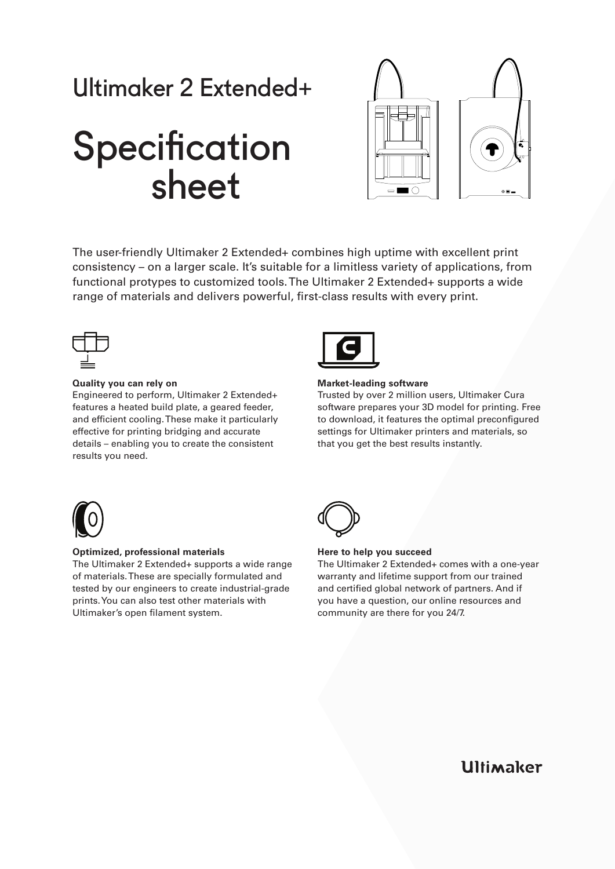## Ultimaker 2 Extended+

# **Specification** sheet



The user-friendly Ultimaker 2 Extended+ combines high uptime with excellent print consistency – on a larger scale. It's suitable for a limitless variety of applications, from functional protypes to customized tools. The Ultimaker 2 Extended+ supports a wide range of materials and delivers powerful, first-class results with every print.



### **Quality you can rely on**

Engineered to perform, Ultimaker 2 Extended+ features a heated build plate, a geared feeder, and efficient cooling. These make it particularly effective for printing bridging and accurate details – enabling you to create the consistent results you need.



### **Market-leading software**

Trusted by over 2 million users, Ultimaker Cura software prepares your 3D model for printing. Free to download, it features the optimal preconfigured settings for Ultimaker printers and materials, so that you get the best results instantly.



### **Optimized, professional materials**

The Ultimaker 2 Extended+ supports a wide range of materials. These are specially formulated and tested by our engineers to create industrial-grade prints. You can also test other materials with Ultimaker's open filament system.



### **Here to help you succeed**

The Ultimaker 2 Extended+ comes with a one-year warranty and lifetime support from our trained and certified global network of partners. And if you have a question, our online resources and community are there for you 24/7.

**Ultimaker**